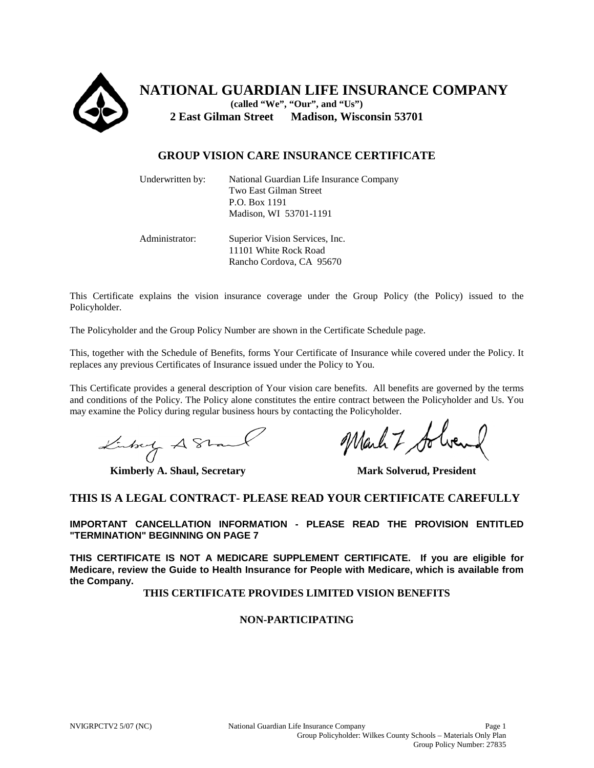

**NATIONAL GUARDIAN LIFE INSURANCE COMPANY (called "We", "Our", and "Us") 2 East Gilman Street Madison, Wisconsin 53701**

# **GROUP VISION CARE INSURANCE CERTIFICATE**

| Underwritten by: | National Guardian Life Insurance Company<br>Two East Gilman Street<br>P.O. Box 1191<br>Madison, WI 53701-1191 |
|------------------|---------------------------------------------------------------------------------------------------------------|
| Administrator:   | Superior Vision Services, Inc.<br>11101 White Rock Road<br>Rancho Cordova, CA 95670                           |

This Certificate explains the vision insurance coverage under the Group Policy (the Policy) issued to the Policyholder.

The Policyholder and the Group Policy Number are shown in the Certificate Schedule page.

This, together with the Schedule of Benefits, forms Your Certificate of Insurance while covered under the Policy. It replaces any previous Certificates of Insurance issued under the Policy to You.

This Certificate provides a general description of Your vision care benefits. All benefits are governed by the terms and conditions of the Policy. The Policy alone constitutes the entire contract between the Policyholder and Us. You may examine the Policy during regular business hours by contacting the Policyholder.

Linkey A Stand

**Kimberly A. Shaul, Secretary Mark Solverud, President** 

March 7 Solve

### **THIS IS A LEGAL CONTRACT- PLEASE READ YOUR CERTIFICATE CAREFULLY**

**IMPORTANT CANCELLATION INFORMATION - PLEASE READ THE PROVISION ENTITLED "TERMINATION" BEGINNING ON PAGE 7**

**THIS CERTIFICATE IS NOT A MEDICARE SUPPLEMENT CERTIFICATE. If you are eligible for Medicare, review the Guide to Health Insurance for People with Medicare, which is available from the Company.**

**THIS CERTIFICATE PROVIDES LIMITED VISION BENEFITS**

#### **NON-PARTICIPATING**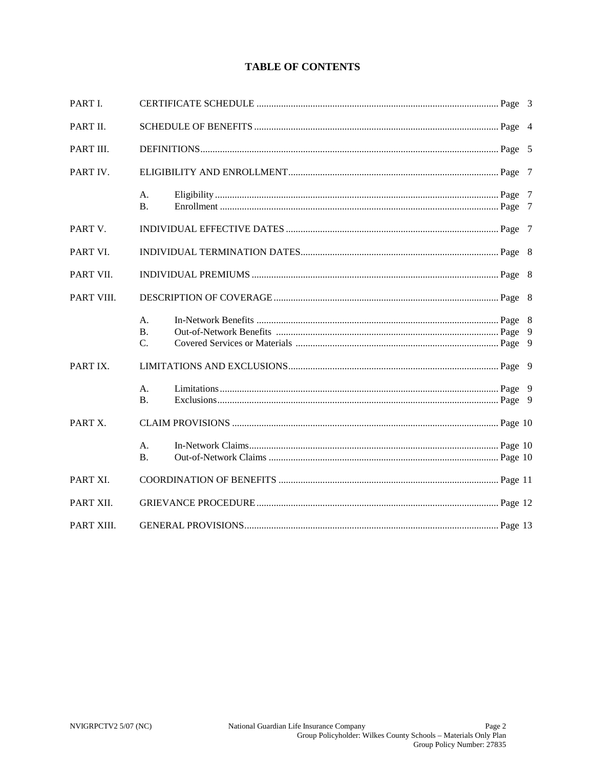# **TABLE OF CONTENTS**

| PART I.    |                       |  |  |  |
|------------|-----------------------|--|--|--|
| PART II.   |                       |  |  |  |
| PART III.  |                       |  |  |  |
| PART IV.   |                       |  |  |  |
|            | A.<br><b>B.</b>       |  |  |  |
| PART V.    |                       |  |  |  |
| PART VI.   |                       |  |  |  |
| PART VII.  |                       |  |  |  |
| PART VIII. |                       |  |  |  |
|            | A.<br><b>B.</b><br>C. |  |  |  |
| PART IX.   |                       |  |  |  |
|            | A.<br><b>B.</b>       |  |  |  |
| PART X.    |                       |  |  |  |
|            | А.<br><b>B.</b>       |  |  |  |
| PART XI.   |                       |  |  |  |
| PART XII.  |                       |  |  |  |
| PART XIII. |                       |  |  |  |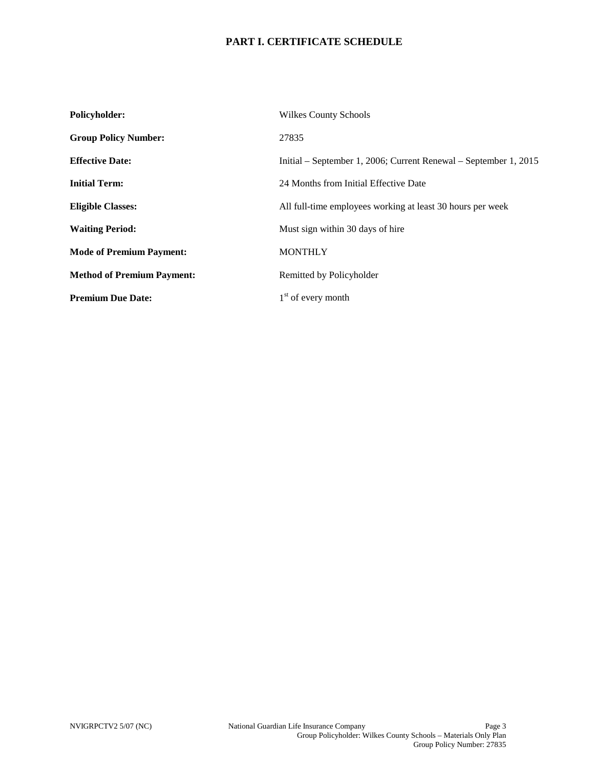# **PART I. CERTIFICATE SCHEDULE**

| Policyholder:                     | <b>Wilkes County Schools</b>                                     |  |
|-----------------------------------|------------------------------------------------------------------|--|
| <b>Group Policy Number:</b>       | 27835                                                            |  |
| <b>Effective Date:</b>            | Initial – September 1, 2006; Current Renewal – September 1, 2015 |  |
| <b>Initial Term:</b>              | 24 Months from Initial Effective Date                            |  |
| <b>Eligible Classes:</b>          | All full-time employees working at least 30 hours per week       |  |
| <b>Waiting Period:</b>            | Must sign within 30 days of hire                                 |  |
| <b>Mode of Premium Payment:</b>   | <b>MONTHLY</b>                                                   |  |
| <b>Method of Premium Payment:</b> | Remitted by Policyholder                                         |  |
| <b>Premium Due Date:</b>          | $1st$ of every month                                             |  |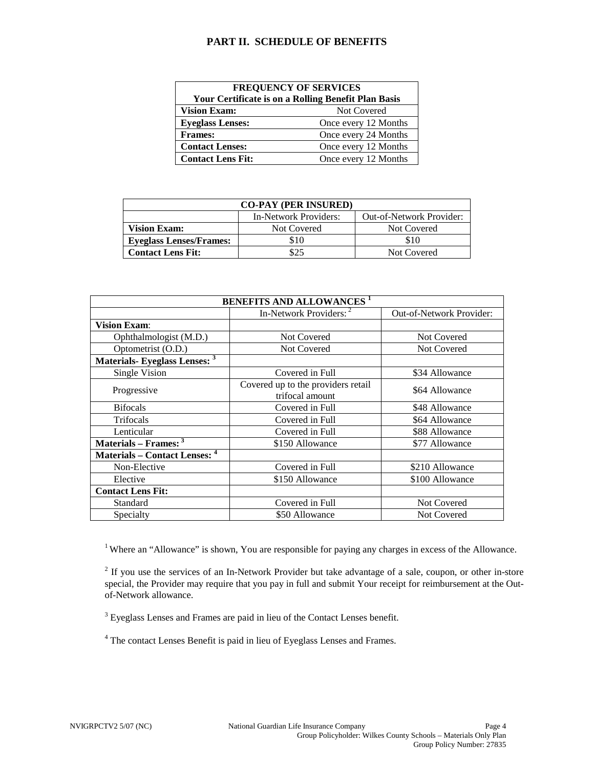### **PART II. SCHEDULE OF BENEFITS**

| <b>FREQUENCY OF SERVICES</b>                               |                      |  |  |
|------------------------------------------------------------|----------------------|--|--|
| <b>Your Certificate is on a Rolling Benefit Plan Basis</b> |                      |  |  |
| <b>Vision Exam:</b>                                        | <b>Not Covered</b>   |  |  |
| <b>Eyeglass Lenses:</b>                                    | Once every 12 Months |  |  |
| <b>Frames:</b>                                             | Once every 24 Months |  |  |
| <b>Contact Lenses:</b>                                     | Once every 12 Months |  |  |
| <b>Contact Lens Fit:</b>                                   | Once every 12 Months |  |  |

| <b>CO-PAY (PER INSURED)</b>    |                       |                                 |  |  |
|--------------------------------|-----------------------|---------------------------------|--|--|
|                                | In-Network Providers: | <b>Out-of-Network Provider:</b> |  |  |
| Vision Exam:                   | Not Covered           | Not Covered                     |  |  |
| <b>Eyeglass Lenses/Frames:</b> | \$10                  | \$10                            |  |  |
| <b>Contact Lens Fit:</b>       | \$25                  | Not Covered                     |  |  |

| <b>BENEFITS AND ALLOWANCES<sup>1</sup></b> |                                                       |                                 |  |
|--------------------------------------------|-------------------------------------------------------|---------------------------------|--|
|                                            | In-Network Providers: <sup>2</sup>                    | <b>Out-of-Network Provider:</b> |  |
| <b>Vision Exam:</b>                        |                                                       |                                 |  |
| Ophthalmologist (M.D.)                     | Not Covered                                           | Not Covered                     |  |
| Optometrist (O.D.)                         | Not Covered                                           | <b>Not Covered</b>              |  |
| Materials- Eyeglass Lenses: 3              |                                                       |                                 |  |
| Single Vision                              | Covered in Full                                       | \$34 Allowance                  |  |
| Progressive                                | Covered up to the providers retail<br>trifocal amount | \$64 Allowance                  |  |
| <b>Bifocals</b>                            | Covered in Full                                       | \$48 Allowance                  |  |
| Trifocals                                  | Covered in Full                                       | \$64 Allowance                  |  |
| Lenticular                                 | Covered in Full                                       | \$88 Allowance                  |  |
| Materials – Frames: $3$                    | \$150 Allowance                                       | \$77 Allowance                  |  |
| Materials – Contact Lenses: 4              |                                                       |                                 |  |
| Non-Elective                               | Covered in Full                                       | \$210 Allowance                 |  |
| Elective                                   | \$150 Allowance                                       | \$100 Allowance                 |  |
| <b>Contact Lens Fit:</b>                   |                                                       |                                 |  |
| Standard                                   | Covered in Full                                       | Not Covered                     |  |
| Specialty                                  | \$50 Allowance                                        | <b>Not Covered</b>              |  |

<sup>1</sup> Where an "Allowance" is shown, You are responsible for paying any charges in excess of the Allowance.

<sup>2</sup> If you use the services of an In-Network Provider but take advantage of a sale, coupon, or other in-store special, the Provider may require that you pay in full and submit Your receipt for reimbursement at the Outof-Network allowance.

<sup>3</sup> Eyeglass Lenses and Frames are paid in lieu of the Contact Lenses benefit.

<sup>4</sup> The contact Lenses Benefit is paid in lieu of Eyeglass Lenses and Frames.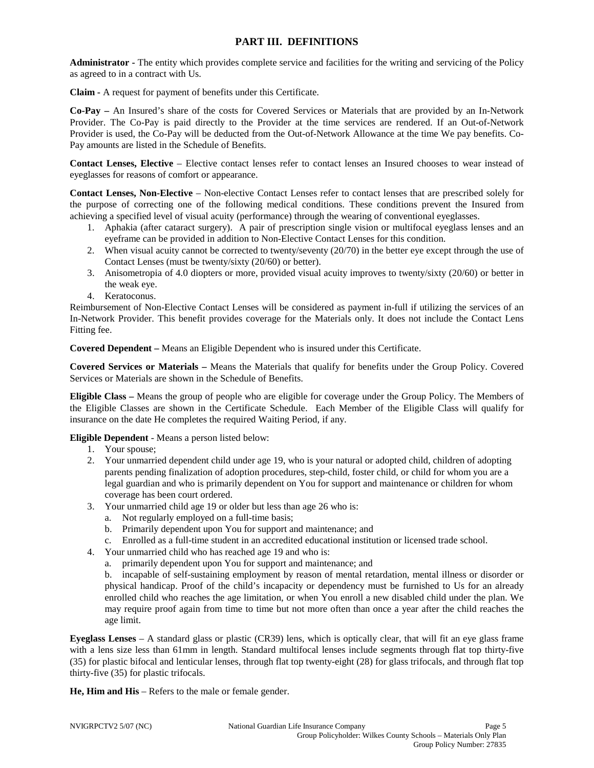### **PART III. DEFINITIONS**

**Administrator -** The entity which provides complete service and facilities for the writing and servicing of the Policy as agreed to in a contract with Us.

**Claim -** A request for payment of benefits under this Certificate.

**Co-Pay –** An Insured's share of the costs for Covered Services or Materials that are provided by an In-Network Provider. The Co-Pay is paid directly to the Provider at the time services are rendered. If an Out-of-Network Provider is used, the Co-Pay will be deducted from the Out-of-Network Allowance at the time We pay benefits. Co-Pay amounts are listed in the Schedule of Benefits.

**Contact Lenses, Elective** – Elective contact lenses refer to contact lenses an Insured chooses to wear instead of eyeglasses for reasons of comfort or appearance.

**Contact Lenses, Non-Elective** – Non-elective Contact Lenses refer to contact lenses that are prescribed solely for the purpose of correcting one of the following medical conditions. These conditions prevent the Insured from achieving a specified level of visual acuity (performance) through the wearing of conventional eyeglasses.

- 1. Aphakia (after cataract surgery). A pair of prescription single vision or multifocal eyeglass lenses and an eyeframe can be provided in addition to Non-Elective Contact Lenses for this condition.
- 2. When visual acuity cannot be corrected to twenty/seventy (20/70) in the better eye except through the use of Contact Lenses (must be twenty/sixty (20/60) or better).
- 3. Anisometropia of 4.0 diopters or more, provided visual acuity improves to twenty/sixty (20/60) or better in the weak eye.
- 4. Keratoconus.

Reimbursement of Non-Elective Contact Lenses will be considered as payment in-full if utilizing the services of an In-Network Provider. This benefit provides coverage for the Materials only. It does not include the Contact Lens Fitting fee.

**Covered Dependent –** Means an Eligible Dependent who is insured under this Certificate.

**Covered Services or Materials –** Means the Materials that qualify for benefits under the Group Policy. Covered Services or Materials are shown in the Schedule of Benefits.

**Eligible Class –** Means the group of people who are eligible for coverage under the Group Policy. The Members of the Eligible Classes are shown in the Certificate Schedule. Each Member of the Eligible Class will qualify for insurance on the date He completes the required Waiting Period, if any.

**Eligible Dependent** - Means a person listed below:

- 1. Your spouse;
- 2. Your unmarried dependent child under age 19, who is your natural or adopted child, children of adopting parents pending finalization of adoption procedures, step-child, foster child, or child for whom you are a legal guardian and who is primarily dependent on You for support and maintenance or children for whom coverage has been court ordered.
- 3. Your unmarried child age 19 or older but less than age 26 who is:
	- a. Not regularly employed on a full-time basis;
	- b. Primarily dependent upon You for support and maintenance; and
	- c. Enrolled as a full-time student in an accredited educational institution or licensed trade school.
- 4. Your unmarried child who has reached age 19 and who is:
	- a. primarily dependent upon You for support and maintenance; and

b. incapable of self-sustaining employment by reason of mental retardation, mental illness or disorder or physical handicap. Proof of the child's incapacity or dependency must be furnished to Us for an already enrolled child who reaches the age limitation, or when You enroll a new disabled child under the plan. We may require proof again from time to time but not more often than once a year after the child reaches the age limit.

**Eyeglass Lenses** – A standard glass or plastic (CR39) lens, which is optically clear, that will fit an eye glass frame with a lens size less than 61mm in length. Standard multifocal lenses include segments through flat top thirty-five (35) for plastic bifocal and lenticular lenses, through flat top twenty-eight (28) for glass trifocals, and through flat top thirty-five (35) for plastic trifocals.

**He, Him and His** – Refers to the male or female gender.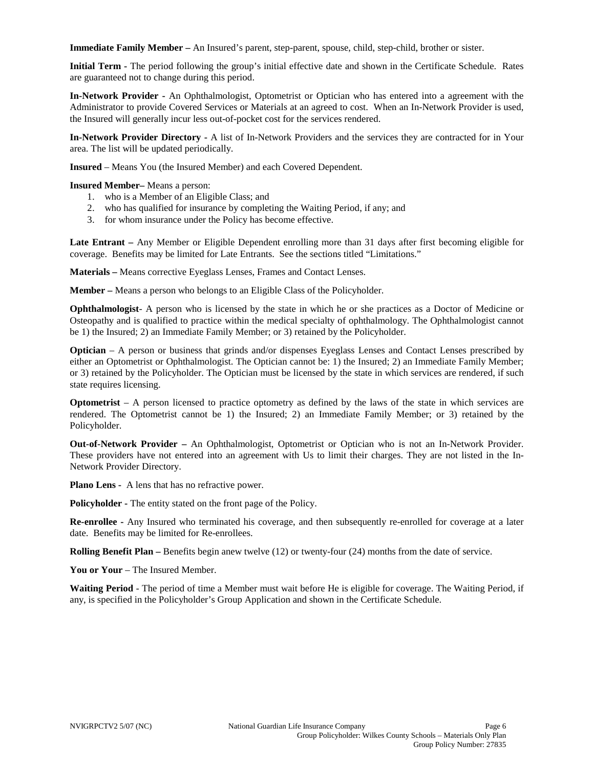**Immediate Family Member –** An Insured's parent, step-parent, spouse, child, step-child, brother or sister.

**Initial Term -** The period following the group's initial effective date and shown in the Certificate Schedule. Rates are guaranteed not to change during this period.

**In-Network Provider -** An Ophthalmologist, Optometrist or Optician who has entered into a agreement with the Administrator to provide Covered Services or Materials at an agreed to cost. When an In-Network Provider is used, the Insured will generally incur less out-of-pocket cost for the services rendered.

**In-Network Provider Directory -** A list of In-Network Providers and the services they are contracted for in Your area. The list will be updated periodically.

**Insured** – Means You (the Insured Member) and each Covered Dependent.

**Insured Member–** Means a person:

- 1. who is a Member of an Eligible Class; and
- 2. who has qualified for insurance by completing the Waiting Period, if any; and
- 3. for whom insurance under the Policy has become effective.

**Late Entrant –** Any Member or Eligible Dependent enrolling more than 31 days after first becoming eligible for coverage. Benefits may be limited for Late Entrants. See the sections titled "Limitations."

**Materials –** Means corrective Eyeglass Lenses, Frames and Contact Lenses.

**Member –** Means a person who belongs to an Eligible Class of the Policyholder.

**Ophthalmologist**- A person who is licensed by the state in which he or she practices as a Doctor of Medicine or Osteopathy and is qualified to practice within the medical specialty of ophthalmology. The Ophthalmologist cannot be 1) the Insured; 2) an Immediate Family Member; or 3) retained by the Policyholder.

**Optician** – A person or business that grinds and/or dispenses Eyeglass Lenses and Contact Lenses prescribed by either an Optometrist or Ophthalmologist. The Optician cannot be: 1) the Insured; 2) an Immediate Family Member; or 3) retained by the Policyholder. The Optician must be licensed by the state in which services are rendered, if such state requires licensing.

**Optometrist** – A person licensed to practice optometry as defined by the laws of the state in which services are rendered. The Optometrist cannot be 1) the Insured; 2) an Immediate Family Member; or 3) retained by the Policyholder.

**Out-of-Network Provider –** An Ophthalmologist, Optometrist or Optician who is not an In-Network Provider. These providers have not entered into an agreement with Us to limit their charges. They are not listed in the In-Network Provider Directory.

**Plano Lens -** A lens that has no refractive power.

**Policyholder -** The entity stated on the front page of the Policy.

**Re-enrollee -** Any Insured who terminated his coverage, and then subsequently re-enrolled for coverage at a later date. Benefits may be limited for Re-enrollees.

**Rolling Benefit Plan –** Benefits begin anew twelve (12) or twenty-four (24) months from the date of service.

**You or Your** – The Insured Member.

**Waiting Period** - The period of time a Member must wait before He is eligible for coverage. The Waiting Period, if any, is specified in the Policyholder's Group Application and shown in the Certificate Schedule.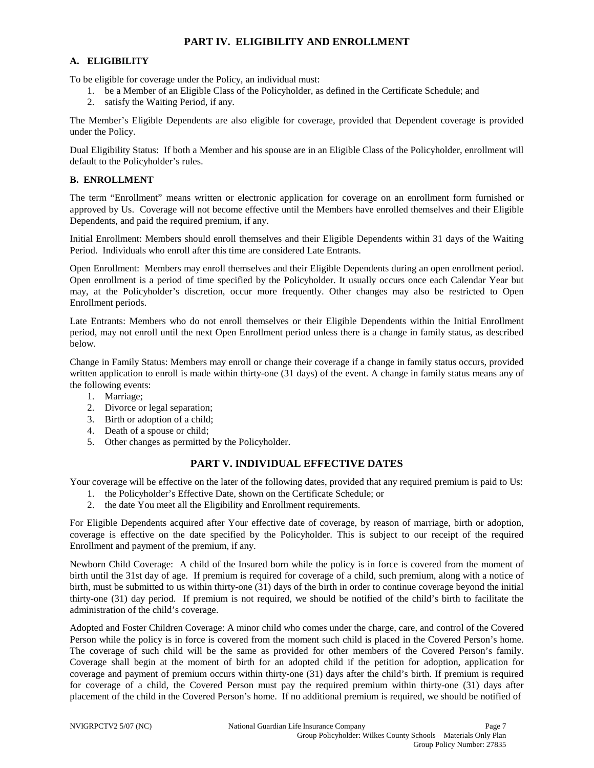### **PART IV. ELIGIBILITY AND ENROLLMENT**

#### **A. ELIGIBILITY**

To be eligible for coverage under the Policy, an individual must:

- 1. be a Member of an Eligible Class of the Policyholder, as defined in the Certificate Schedule; and
- 2. satisfy the Waiting Period, if any.

The Member's Eligible Dependents are also eligible for coverage, provided that Dependent coverage is provided under the Policy.

Dual Eligibility Status: If both a Member and his spouse are in an Eligible Class of the Policyholder, enrollment will default to the Policyholder's rules.

#### **B. ENROLLMENT**

The term "Enrollment" means written or electronic application for coverage on an enrollment form furnished or approved by Us. Coverage will not become effective until the Members have enrolled themselves and their Eligible Dependents, and paid the required premium, if any.

Initial Enrollment: Members should enroll themselves and their Eligible Dependents within 31 days of the Waiting Period. Individuals who enroll after this time are considered Late Entrants.

Open Enrollment: Members may enroll themselves and their Eligible Dependents during an open enrollment period. Open enrollment is a period of time specified by the Policyholder. It usually occurs once each Calendar Year but may, at the Policyholder's discretion, occur more frequently. Other changes may also be restricted to Open Enrollment periods.

Late Entrants: Members who do not enroll themselves or their Eligible Dependents within the Initial Enrollment period, may not enroll until the next Open Enrollment period unless there is a change in family status, as described below.

Change in Family Status: Members may enroll or change their coverage if a change in family status occurs, provided written application to enroll is made within thirty-one (31 days) of the event. A change in family status means any of the following events:

- 1. Marriage;
- 2. Divorce or legal separation;
- 3. Birth or adoption of a child;
- 4. Death of a spouse or child;
- 5. Other changes as permitted by the Policyholder.

### **PART V. INDIVIDUAL EFFECTIVE DATES**

Your coverage will be effective on the later of the following dates, provided that any required premium is paid to Us:

- 1. the Policyholder's Effective Date, shown on the Certificate Schedule; or
- 2. the date You meet all the Eligibility and Enrollment requirements.

For Eligible Dependents acquired after Your effective date of coverage, by reason of marriage, birth or adoption, coverage is effective on the date specified by the Policyholder. This is subject to our receipt of the required Enrollment and payment of the premium, if any.

Newborn Child Coverage: A child of the Insured born while the policy is in force is covered from the moment of birth until the 31st day of age. If premium is required for coverage of a child, such premium, along with a notice of birth, must be submitted to us within thirty-one (31) days of the birth in order to continue coverage beyond the initial thirty-one (31) day period. If premium is not required, we should be notified of the child's birth to facilitate the administration of the child's coverage.

Adopted and Foster Children Coverage: A minor child who comes under the charge, care, and control of the Covered Person while the policy is in force is covered from the moment such child is placed in the Covered Person's home. The coverage of such child will be the same as provided for other members of the Covered Person's family. Coverage shall begin at the moment of birth for an adopted child if the petition for adoption, application for coverage and payment of premium occurs within thirty-one (31) days after the child's birth. If premium is required for coverage of a child, the Covered Person must pay the required premium within thirty-one (31) days after placement of the child in the Covered Person's home. If no additional premium is required, we should be notified of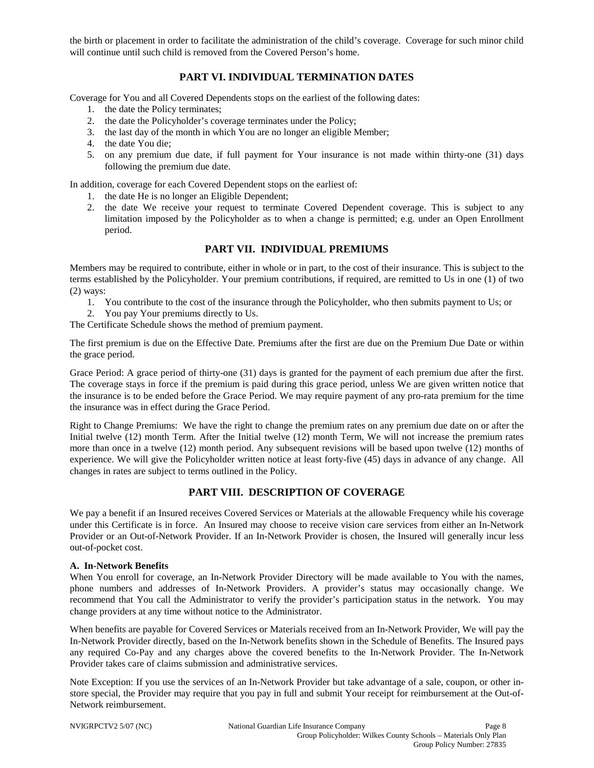the birth or placement in order to facilitate the administration of the child's coverage. Coverage for such minor child will continue until such child is removed from the Covered Person's home.

# **PART VI. INDIVIDUAL TERMINATION DATES**

Coverage for You and all Covered Dependents stops on the earliest of the following dates:

- 1. the date the Policy terminates;
- 2. the date the Policyholder's coverage terminates under the Policy;
- 3. the last day of the month in which You are no longer an eligible Member;
- 4. the date You die;
- 5. on any premium due date, if full payment for Your insurance is not made within thirty-one (31) days following the premium due date.

In addition, coverage for each Covered Dependent stops on the earliest of:

- 1. the date He is no longer an Eligible Dependent;
- 2. the date We receive your request to terminate Covered Dependent coverage. This is subject to any limitation imposed by the Policyholder as to when a change is permitted; e.g. under an Open Enrollment period.

#### **PART VII. INDIVIDUAL PREMIUMS**

Members may be required to contribute, either in whole or in part, to the cost of their insurance. This is subject to the terms established by the Policyholder. Your premium contributions, if required, are remitted to Us in one (1) of two (2) ways:

- 1. You contribute to the cost of the insurance through the Policyholder, who then submits payment to Us; or
- 2. You pay Your premiums directly to Us.

The Certificate Schedule shows the method of premium payment.

The first premium is due on the Effective Date. Premiums after the first are due on the Premium Due Date or within the grace period.

Grace Period: A grace period of thirty-one (31) days is granted for the payment of each premium due after the first. The coverage stays in force if the premium is paid during this grace period, unless We are given written notice that the insurance is to be ended before the Grace Period. We may require payment of any pro-rata premium for the time the insurance was in effect during the Grace Period.

Right to Change Premiums: We have the right to change the premium rates on any premium due date on or after the Initial twelve (12) month Term. After the Initial twelve (12) month Term, We will not increase the premium rates more than once in a twelve (12) month period. Any subsequent revisions will be based upon twelve (12) months of experience. We will give the Policyholder written notice at least forty-five (45) days in advance of any change. All changes in rates are subject to terms outlined in the Policy.

#### **PART VIII. DESCRIPTION OF COVERAGE**

We pay a benefit if an Insured receives Covered Services or Materials at the allowable Frequency while his coverage under this Certificate is in force. An Insured may choose to receive vision care services from either an In-Network Provider or an Out-of-Network Provider. If an In-Network Provider is chosen, the Insured will generally incur less out-of-pocket cost.

#### **A. In-Network Benefits**

When You enroll for coverage, an In-Network Provider Directory will be made available to You with the names, phone numbers and addresses of In-Network Providers. A provider's status may occasionally change. We recommend that You call the Administrator to verify the provider's participation status in the network. You may change providers at any time without notice to the Administrator.

When benefits are payable for Covered Services or Materials received from an In-Network Provider, We will pay the In-Network Provider directly, based on the In-Network benefits shown in the Schedule of Benefits. The Insured pays any required Co-Pay and any charges above the covered benefits to the In-Network Provider. The In-Network Provider takes care of claims submission and administrative services.

Note Exception: If you use the services of an In-Network Provider but take advantage of a sale, coupon, or other instore special, the Provider may require that you pay in full and submit Your receipt for reimbursement at the Out-of-Network reimbursement.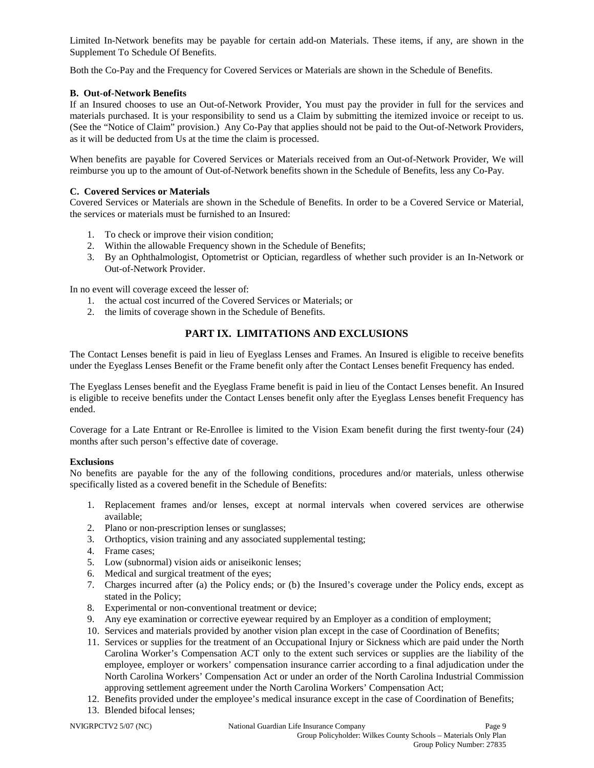Limited In-Network benefits may be payable for certain add-on Materials. These items, if any, are shown in the Supplement To Schedule Of Benefits.

Both the Co-Pay and the Frequency for Covered Services or Materials are shown in the Schedule of Benefits.

### **B. Out-of-Network Benefits**

If an Insured chooses to use an Out-of-Network Provider, You must pay the provider in full for the services and materials purchased. It is your responsibility to send us a Claim by submitting the itemized invoice or receipt to us. (See the "Notice of Claim" provision.) Any Co-Pay that applies should not be paid to the Out-of-Network Providers, as it will be deducted from Us at the time the claim is processed.

When benefits are payable for Covered Services or Materials received from an Out-of-Network Provider, We will reimburse you up to the amount of Out-of-Network benefits shown in the Schedule of Benefits, less any Co-Pay.

### **C. Covered Services or Materials**

Covered Services or Materials are shown in the Schedule of Benefits. In order to be a Covered Service or Material, the services or materials must be furnished to an Insured:

- 1. To check or improve their vision condition;
- 2. Within the allowable Frequency shown in the Schedule of Benefits;
- 3. By an Ophthalmologist, Optometrist or Optician, regardless of whether such provider is an In-Network or Out-of-Network Provider.

In no event will coverage exceed the lesser of:

- 1. the actual cost incurred of the Covered Services or Materials; or
- 2. the limits of coverage shown in the Schedule of Benefits.

# **PART IX. LIMITATIONS AND EXCLUSIONS**

The Contact Lenses benefit is paid in lieu of Eyeglass Lenses and Frames. An Insured is eligible to receive benefits under the Eyeglass Lenses Benefit or the Frame benefit only after the Contact Lenses benefit Frequency has ended.

The Eyeglass Lenses benefit and the Eyeglass Frame benefit is paid in lieu of the Contact Lenses benefit. An Insured is eligible to receive benefits under the Contact Lenses benefit only after the Eyeglass Lenses benefit Frequency has ended.

Coverage for a Late Entrant or Re-Enrollee is limited to the Vision Exam benefit during the first twenty-four (24) months after such person's effective date of coverage.

#### **Exclusions**

No benefits are payable for the any of the following conditions, procedures and/or materials, unless otherwise specifically listed as a covered benefit in the Schedule of Benefits:

- 1. Replacement frames and/or lenses, except at normal intervals when covered services are otherwise available;
- 2. Plano or non-prescription lenses or sunglasses;
- 3. Orthoptics, vision training and any associated supplemental testing;
- 4. Frame cases;
- 5. Low (subnormal) vision aids or aniseikonic lenses;
- 6. Medical and surgical treatment of the eyes;
- 7. Charges incurred after (a) the Policy ends; or (b) the Insured's coverage under the Policy ends, except as stated in the Policy;
- 8. Experimental or non-conventional treatment or device;
- 9. Any eye examination or corrective eyewear required by an Employer as a condition of employment;
- 10. Services and materials provided by another vision plan except in the case of Coordination of Benefits;
- 11. Services or supplies for the treatment of an Occupational Injury or Sickness which are paid under the North Carolina Worker's Compensation ACT only to the extent such services or supplies are the liability of the employee, employer or workers' compensation insurance carrier according to a final adjudication under the North Carolina Workers' Compensation Act or under an order of the North Carolina Industrial Commission approving settlement agreement under the North Carolina Workers' Compensation Act;
- 12. Benefits provided under the employee's medical insurance except in the case of Coordination of Benefits;
- 13. Blended bifocal lenses;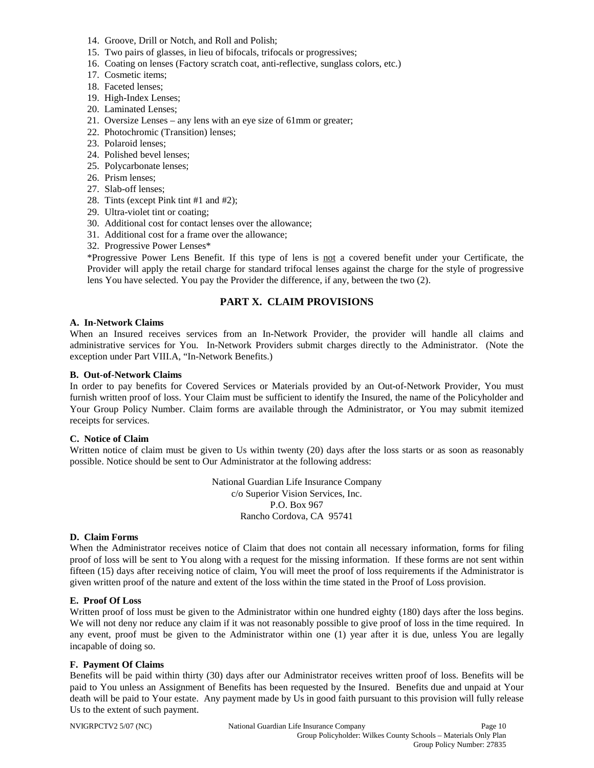- 14. Groove, Drill or Notch, and Roll and Polish;
- 15. Two pairs of glasses, in lieu of bifocals, trifocals or progressives;
- 16. Coating on lenses (Factory scratch coat, anti-reflective, sunglass colors, etc.)
- 17. Cosmetic items;
- 18. Faceted lenses;
- 19. High-Index Lenses;
- 20. Laminated Lenses;
- 21. Oversize Lenses any lens with an eye size of 61mm or greater;
- 22. Photochromic (Transition) lenses;
- 23. Polaroid lenses;
- 24. Polished bevel lenses;
- 25. Polycarbonate lenses;
- 26. Prism lenses;
- 27. Slab-off lenses;
- 28. Tints (except Pink tint #1 and #2);
- 29. Ultra-violet tint or coating;
- 30. Additional cost for contact lenses over the allowance;
- 31. Additional cost for a frame over the allowance;
- 32. Progressive Power Lenses\*

\*Progressive Power Lens Benefit. If this type of lens is not a covered benefit under your Certificate, the Provider will apply the retail charge for standard trifocal lenses against the charge for the style of progressive lens You have selected. You pay the Provider the difference, if any, between the two (2).

### **PART X. CLAIM PROVISIONS**

#### **A. In-Network Claims**

When an Insured receives services from an In-Network Provider, the provider will handle all claims and administrative services for You. In-Network Providers submit charges directly to the Administrator. (Note the exception under Part VIII.A, "In-Network Benefits.)

#### **B. Out-of-Network Claims**

In order to pay benefits for Covered Services or Materials provided by an Out-of-Network Provider, You must furnish written proof of loss. Your Claim must be sufficient to identify the Insured, the name of the Policyholder and Your Group Policy Number. Claim forms are available through the Administrator, or You may submit itemized receipts for services.

#### **C. Notice of Claim**

Written notice of claim must be given to Us within twenty (20) days after the loss starts or as soon as reasonably possible. Notice should be sent to Our Administrator at the following address:

> National Guardian Life Insurance Company c/o Superior Vision Services, Inc. P.O. Box 967 Rancho Cordova, CA 95741

#### **D. Claim Forms**

When the Administrator receives notice of Claim that does not contain all necessary information, forms for filing proof of loss will be sent to You along with a request for the missing information. If these forms are not sent within fifteen (15) days after receiving notice of claim, You will meet the proof of loss requirements if the Administrator is given written proof of the nature and extent of the loss within the time stated in the Proof of Loss provision.

#### **E. Proof Of Loss**

Written proof of loss must be given to the Administrator within one hundred eighty (180) days after the loss begins. We will not deny nor reduce any claim if it was not reasonably possible to give proof of loss in the time required. In any event, proof must be given to the Administrator within one (1) year after it is due, unless You are legally incapable of doing so.

#### **F. Payment Of Claims**

Benefits will be paid within thirty (30) days after our Administrator receives written proof of loss. Benefits will be paid to You unless an Assignment of Benefits has been requested by the Insured. Benefits due and unpaid at Your death will be paid to Your estate. Any payment made by Us in good faith pursuant to this provision will fully release Us to the extent of such payment.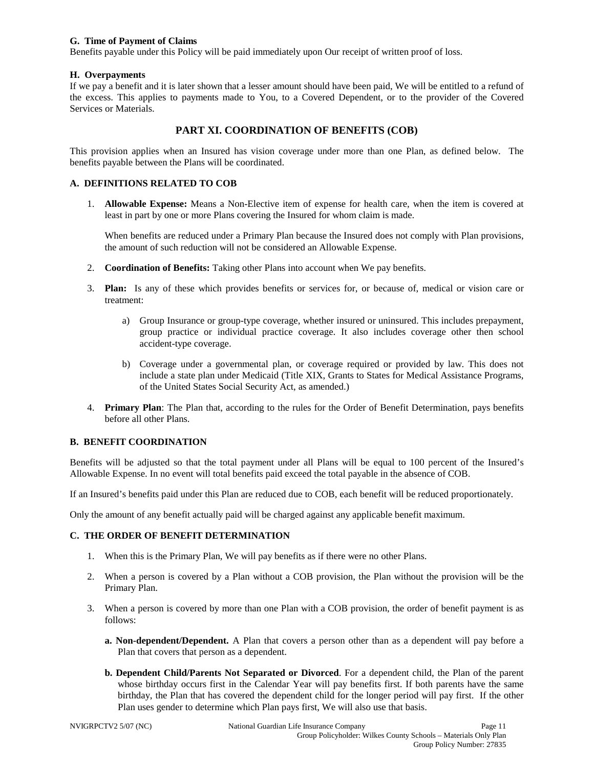#### **G. Time of Payment of Claims**

Benefits payable under this Policy will be paid immediately upon Our receipt of written proof of loss.

#### **H. Overpayments**

If we pay a benefit and it is later shown that a lesser amount should have been paid, We will be entitled to a refund of the excess. This applies to payments made to You, to a Covered Dependent, or to the provider of the Covered Services or Materials.

### **PART XI. COORDINATION OF BENEFITS (COB)**

This provision applies when an Insured has vision coverage under more than one Plan, as defined below. The benefits payable between the Plans will be coordinated.

### **A. DEFINITIONS RELATED TO COB**

1. **Allowable Expense:** Means a Non-Elective item of expense for health care, when the item is covered at least in part by one or more Plans covering the Insured for whom claim is made.

When benefits are reduced under a Primary Plan because the Insured does not comply with Plan provisions, the amount of such reduction will not be considered an Allowable Expense.

- 2. **Coordination of Benefits:** Taking other Plans into account when We pay benefits.
- 3. **Plan:** Is any of these which provides benefits or services for, or because of, medical or vision care or treatment:
	- a) Group Insurance or group-type coverage, whether insured or uninsured. This includes prepayment, group practice or individual practice coverage. It also includes coverage other then school accident-type coverage.
	- b) Coverage under a governmental plan, or coverage required or provided by law. This does not include a state plan under Medicaid (Title XIX, Grants to States for Medical Assistance Programs, of the United States Social Security Act, as amended.)
- 4. **Primary Plan**: The Plan that, according to the rules for the Order of Benefit Determination, pays benefits before all other Plans.

#### **B. BENEFIT COORDINATION**

Benefits will be adjusted so that the total payment under all Plans will be equal to 100 percent of the Insured's Allowable Expense. In no event will total benefits paid exceed the total payable in the absence of COB.

If an Insured's benefits paid under this Plan are reduced due to COB, each benefit will be reduced proportionately.

Only the amount of any benefit actually paid will be charged against any applicable benefit maximum.

#### **C. THE ORDER OF BENEFIT DETERMINATION**

- 1. When this is the Primary Plan, We will pay benefits as if there were no other Plans.
- 2. When a person is covered by a Plan without a COB provision, the Plan without the provision will be the Primary Plan.
- 3. When a person is covered by more than one Plan with a COB provision, the order of benefit payment is as follows:
	- **a. Non-dependent/Dependent.** A Plan that covers a person other than as a dependent will pay before a Plan that covers that person as a dependent.
	- **b. Dependent Child/Parents Not Separated or Divorced**. For a dependent child, the Plan of the parent whose birthday occurs first in the Calendar Year will pay benefits first. If both parents have the same birthday, the Plan that has covered the dependent child for the longer period will pay first. If the other Plan uses gender to determine which Plan pays first, We will also use that basis.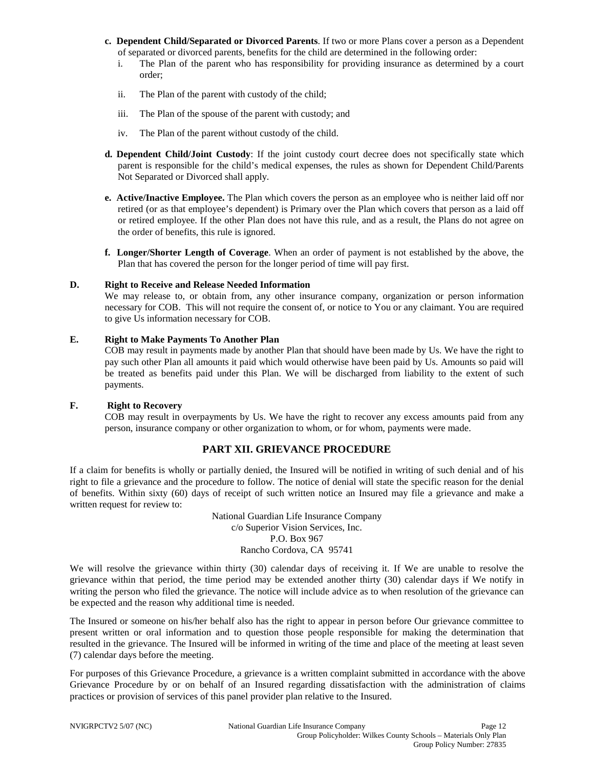- **c. Dependent Child/Separated or Divorced Parents**. If two or more Plans cover a person as a Dependent of separated or divorced parents, benefits for the child are determined in the following order:
	- i. The Plan of the parent who has responsibility for providing insurance as determined by a court order;
	- ii. The Plan of the parent with custody of the child;
	- iii. The Plan of the spouse of the parent with custody; and
	- iv. The Plan of the parent without custody of the child.
- **d. Dependent Child/Joint Custody**: If the joint custody court decree does not specifically state which parent is responsible for the child's medical expenses, the rules as shown for Dependent Child/Parents Not Separated or Divorced shall apply.
- **e. Active/Inactive Employee.** The Plan which covers the person as an employee who is neither laid off nor retired (or as that employee's dependent) is Primary over the Plan which covers that person as a laid off or retired employee. If the other Plan does not have this rule, and as a result, the Plans do not agree on the order of benefits, this rule is ignored.
- **f. Longer/Shorter Length of Coverage**. When an order of payment is not established by the above, the Plan that has covered the person for the longer period of time will pay first.

#### **D. Right to Receive and Release Needed Information**

We may release to, or obtain from, any other insurance company, organization or person information necessary for COB. This will not require the consent of, or notice to You or any claimant. You are required to give Us information necessary for COB.

#### **E. Right to Make Payments To Another Plan**

COB may result in payments made by another Plan that should have been made by Us. We have the right to pay such other Plan all amounts it paid which would otherwise have been paid by Us. Amounts so paid will be treated as benefits paid under this Plan. We will be discharged from liability to the extent of such payments.

#### **F. Right to Recovery**

COB may result in overpayments by Us. We have the right to recover any excess amounts paid from any person, insurance company or other organization to whom, or for whom, payments were made.

### **PART XII. GRIEVANCE PROCEDURE**

If a claim for benefits is wholly or partially denied, the Insured will be notified in writing of such denial and of his right to file a grievance and the procedure to follow. The notice of denial will state the specific reason for the denial of benefits. Within sixty (60) days of receipt of such written notice an Insured may file a grievance and make a written request for review to:

> National Guardian Life Insurance Company c/o Superior Vision Services, Inc. P.O. Box 967 Rancho Cordova, CA 95741

We will resolve the grievance within thirty (30) calendar days of receiving it. If We are unable to resolve the grievance within that period, the time period may be extended another thirty (30) calendar days if We notify in writing the person who filed the grievance. The notice will include advice as to when resolution of the grievance can be expected and the reason why additional time is needed.

The Insured or someone on his/her behalf also has the right to appear in person before Our grievance committee to present written or oral information and to question those people responsible for making the determination that resulted in the grievance. The Insured will be informed in writing of the time and place of the meeting at least seven (7) calendar days before the meeting.

For purposes of this Grievance Procedure, a grievance is a written complaint submitted in accordance with the above Grievance Procedure by or on behalf of an Insured regarding dissatisfaction with the administration of claims practices or provision of services of this panel provider plan relative to the Insured.